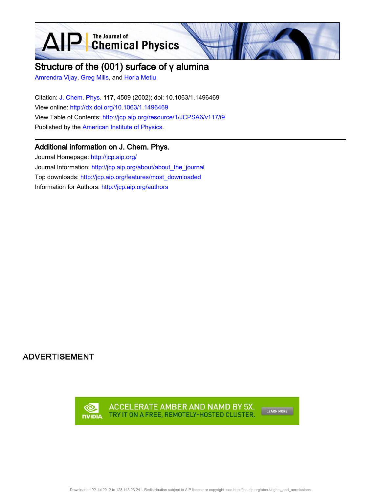**D** The Journal of Chemical Physics

# Structure of the (001) surface of γ alumina

Amrendra Vijay, Greg Mills, and Horia Metiu

 $\blacktriangle$ 

Citation: J. Chem. Phys. 117, 4509 (2002); doi: 10.1063/1.1496469 View online: http://dx.doi.org/10.1063/1.1496469 View Table of Contents: http://jcp.aip.org/resource/1/JCPSA6/v117/i9 Published by the American Institute of Physics.

# Additional information on J. Chem. Phys.

Journal Homepage: http://jcp.aip.org/ Journal Information: http://jcp.aip.org/about/about\_the\_journal Top downloads: http://jcp.aip.org/features/most\_downloaded Information for Authors: http://jcp.aip.org/authors

**ADVERTISEMENT** 

ACCELERATE AMBER AND NAMD BY 5X. @ TRY IT ON A FREE, REMOTELY-HOSTED CLUSTER. **NUDIA** 

LEARN MORE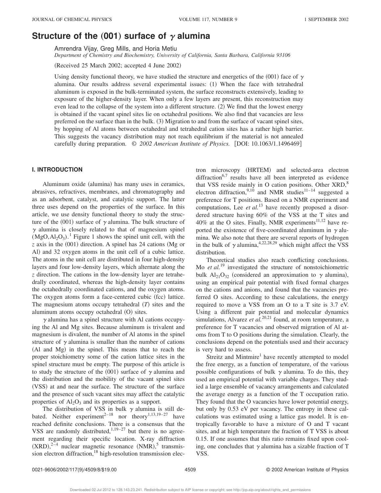# **Structure of the (001) surface of**  $\gamma$  **alumina**

Amrendra Vijay, Greg Mills, and Horia Metiu

*Department of Chemistry and Biochemistry, University of California, Santa Barbara, California 93106*

 $(Received 25 March 2002; accepted 4 June 2002)$ 

Using density functional theory, we have studied the structure and energetics of the (001) face of  $\gamma$ alumina. Our results address several experimental issues:  $(1)$  When the face with tetrahedral aluminum is exposed in the bulk-terminated system, the surface reconstructs extensively, leading to exposure of the higher-density layer. When only a few layers are present, this reconstruction may even lead to the collapse of the system into a different structure.  $(2)$  We find that the lowest energy is obtained if the vacant spinel sites lie on octahedral positions. We also find that vacancies are less preferred on the surface than in the bulk.  $(3)$  Migration to and from the surface of vacant spinel sites, by hopping of Al atoms between octahedral and tetrahedral cation sites has a rather high barrier. This suggests the vacancy distribution may not reach equilibrium if the material is not annealed carefully during preparation.  $\degree$  2002 American Institute of Physics. [DOI: 10.1063/1.1496469]

# **I. INTRODUCTION**

Aluminum oxide (alumina) has many uses in ceramics, abrasives, refractives, membranes, and chromatography and as an adsorbent, catalyst, and catalytic support. The latter three uses depend on the properties of the surface. In this article, we use density functional theory to study the structure of the (001) surface of  $\gamma$  alumina. The bulk structure of  $\gamma$  alumina is closely related to that of magnesium spinel  $(MgO, Al<sub>2</sub>O<sub>3</sub>)$ .<sup>1</sup> Figure 1 shows the spinel unit cell, with the  $\zeta$  axis in the  $(001)$  direction. A spinel has 24 cations (Mg or Al) and 32 oxygen atoms in the unit cell of a cubic lattice. The atoms in the unit cell are distributed in four high-density layers and four low-density layers, which alternate along the *z* direction. The cations in the low-density layer are tetrahedrally coordinated, whereas the high-density layer contains the octahedrally coordinated cations, and the oxygen atoms. The oxygen atoms form a face-centered cubic (fcc) lattice. The magnesium atoms occupy tetrahedral  $(T)$  sites and the aluminum atoms occupy octahedral  $(O)$  sites.

 $\gamma$  alumina has a spinel structure with Al cations occupying the Al and Mg sites. Because aluminum is trivalent and magnesium is divalent, the number of Al atoms in the spinel structure of  $\gamma$  alumina is smaller than the number of cations (Al and Mg) in the spinel. This means that to reach the proper stoichiometry some of the cation lattice sites in the spinel structure must be empty. The purpose of this article is to study the structure of the  $(001)$  surface of  $\gamma$  alumina and the distribution and the mobility of the vacant spinel sites (VSS) at and near the surface. The structure of the surface and the presence of such vacant sites may affect the catalytic properties of  $Al_2O_3$  and its properties as a support.

The distribution of VSS in bulk  $\gamma$  alumina is still debated. Neither experiment<sup>2-18</sup> nor theory<sup>1,13,19-27</sup> have reached definite conclusions. There is a consensus that the VSS are randomly distributed,  $1,19-27$  but there is no agreement regarding their specific location. X-ray diffraction  $(XRD),^{2-4}$  nuclear magnetic resonance  $(NMR),^5$  transmission electron diffraction, $18$  high-resolution transmission elec-

tron microscopy (HRTEM) and selected-area electron diffraction $6,7$  results have all been interpreted as evidence that VSS reside mainly in O cation positions. Other XRD,<sup>8</sup> electron diffraction,<sup>9,10</sup> and NMR studies<sup>11–14</sup> suggested a preference for T positions. Based on a NMR experiment and computations, Lee *et al.*<sup>13</sup> have recently proposed a disordered structure having 60% of the VSS at the T sites and  $40\%$  at the O sites. Finally, NMR experiments<sup>11,12</sup> have reported the existence of five-coordinated aluminum in  $\gamma$  alumina. We also note that there are several reports of hydrogen in the bulk of  $\gamma$  alumina, <sup>4,22,28,29</sup> which might affect the VSS distribution.

Theoretical studies also reach conflicting conclusions. Mo *et al.*<sup>19</sup> investigated the structure of nonstoichiometric bulk Al<sub>21</sub>O<sub>32</sub> (considered an approximation to  $\gamma$  alumina), using an empirical pair potential with fixed formal charges on the cations and anions, and found that the vacancies preferred O sites. According to these calculations, the energy required to move a VSS from an O to a T site is 3.7 eV. Using a different pair potential and molecular dynamics simulations, Alvarez *et al.*<sup>20,21</sup> found, at room temperature, a preference for T vacancies and observed migration of Al atoms from T to O positions during the simulation. Clearly, the conclusions depend on the potentials used and their accuracy is very hard to assess.

Streitz and Mintmire<sup>1</sup> have recently attempted to model the free energy, as a function of temperature, of the various possible configurations of bulk  $\gamma$  alumina. To do this, they used an empirical potential with variable charges. They studied a large ensemble of vacancy arrangements and calculated the average energy as a function of the T occupation ratio. They found that the O vacancies have lower potential energy, but only by 0.53 eV per vacancy. The entropy in these calculations was estimated using a lattice gas model. It is entropically favorable to have a mixture of O and T vacant sites, and at high temperature the fraction of T VSS is about 0.15. If one assumes that this ratio remains fixed upon cooling, one concludes that  $\gamma$  alumina has a sizable fraction of T VSS.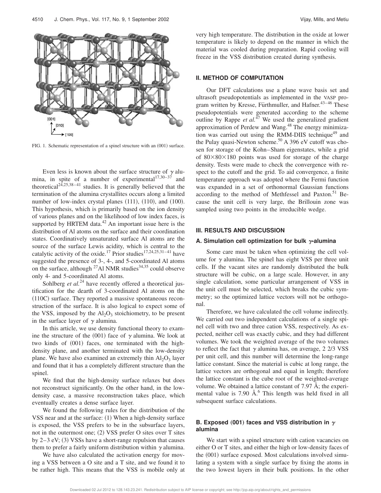

FIG. 1. Schematic representation of a spinel structure with an  $(001)$  surface.

Even less is known about the surface structure of  $\gamma$  alumina, in spite of a number of experimental<sup>17,30–37</sup> and theoretical<sup>24,25,38–41</sup> studies. It is generally believed that the termination of the alumina crystallites occurs along a limited number of low-index crystal planes  $(111)$ ,  $(110)$ , and  $(100)$ . This hypothesis, which is primarily based on the ion density of various planes and on the likelihood of low index faces, is supported by HRTEM data. $42$  An important issue here is the distribution of Al atoms on the surface and their coordination states. Coordinatively unsaturated surface Al atoms are the source of the surface Lewis acidity, which is central to the catalytic activity of the oxide.<sup>17</sup> Prior studies<sup>17,24,25,31–41</sup> have suggested the presence of 3-, 4-, and 5-coordinated Al atoms on the surface, although  $^{27}$ Al NMR studies $^{34,35}$  could observe only 4- and 5-coordinated Al atoms.

Sohlberg *et al.*<sup>24</sup> have recently offered a theoretical justification for the dearth of 3-coordinated Al atoms on the  $(110C)$  surface. They reported a massive spontaneous reconstruction of the surface. It is also logical to expect some of the VSS, imposed by the  $Al_2O_3$  stoichiometry, to be present in the surface layer of  $\gamma$  alumina.

In this article, we use density functional theory to examine the structure of the (001) face of  $\gamma$  alumina. We look at two kinds of  $(001)$  faces, one terminated with the highdensity plane, and another terminated with the low-density plane. We have also examined an extremely thin  $Al_2O_3$  layer and found that it has a completely different structure than the spinel.

We find that the high-density surface relaxes but does not reconstruct significantly. On the other hand, in the lowdensity case, a massive reconstruction takes place, which eventually creates a dense surface layer.

We found the following rules for the distribution of the VSS near and at the surface:  $(1)$  When a high-density surface is exposed, the VSS prefers to be in the subsurface layers, not in the outermost one;  $(2)$  VSS prefer O sites over T sites by  $2-3$  eV; (3) VSSs have a short-range repulsion that causes them to prefer a fairly uniform distribution within  $\gamma$  alumina.

We have also calculated the activation energy for moving a VSS between a O site and a T site, and we found it to be rather high. This means that the VSS is mobile only at very high temperature. The distribution in the oxide at lower temperature is likely to depend on the manner in which the material was cooled during preparation. Rapid cooling will freeze in the VSS distribution created during synthesis.

# **II. METHOD OF COMPUTATION**

Our DFT calculations use a plane wave basis set and ultrasoft pseudopotentials as implemented in the VASP program written by Kresse, Fürthmuller, and Hafner. $43-46$  These pseudopotentials were generated according to the scheme outline by Rappe *et al.*<sup>47</sup> We used the generalized gradient approximation of Perdew and Wang.<sup>48</sup> The energy minimization was carried out using the RMM-DIIS technique<sup>49</sup> and the Pulay quasi-Newton scheme.<sup>50</sup> A 396 eV cutoff was chosen for storage of the Kohn–Sham eigenstates, while a grid of  $80\times80\times180$  points was used for storage of the charge density. Tests were made to check the convergence with respect to the cutoff and the grid. To aid convergence, a finite temperature approach was adopted where the Fermi function was expanded in a set of orthonormal Gaussian functions according to the method of Methfessel and Paxton.<sup>51</sup> Because the unit cell is very large, the Brillouin zone was sampled using two points in the irreducible wedge.

### **III. RESULTS AND DISCUSSION**

#### A. Simulation cell optimization for bulk  $\gamma$ -alumina

Some care must be taken when optimizing the cell volume for  $\gamma$  alumina. The spinel has eight VSS per three unit cells. If the vacant sites are randomly distributed the bulk structure will be cubic, on a large scale. However, in any single calculation, some particular arrangement of VSS in the unit cell must be selected, which breaks the cubic symmetry; so the optimized lattice vectors will not be orthogonal.

Therefore, we have calculated the cell volume indirectly. We carried out two independent calculations of a single spinel cell with two and three cation VSS, respectively. As expected, neither cell was exactly cubic, and they had different volumes. We took the weighted average of the two volumes to reflect the fact that  $\gamma$  alumina has, on average, 2 2/3 VSS per unit cell, and this number will determine the long-range lattice constant. Since the material is cubic at long range, the lattice vectors are orthogonal and equal in length; therefore the lattice constant is the cube root of the weighted-average volume. We obtained a lattice constant of 7.97 Å; the experimental value is  $7.90 \text{ Å}^6$ . This length was held fixed in all subsequent surface calculations.

# **B. Exposed** (001) faces and VSS distribution in  $\gamma$ **alumina**

We start with a spinel structure with cation vacancies on either O or T sites, and either the high or low-density faces of the  $(001)$  surface exposed. Most calculations involved simulating a system with a single surface by fixing the atoms in the two lowest layers in their bulk positions. In the other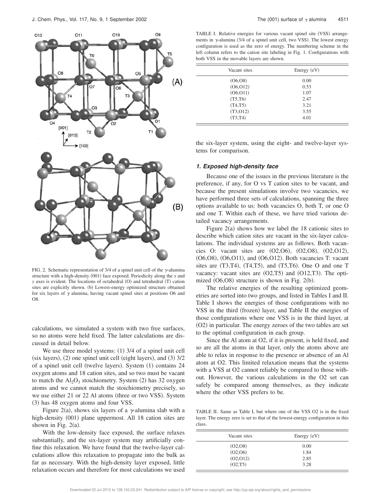

FIG. 2. Schematic representation of 3/4 of a spinel unit cell of the  $\gamma$ -alumina structure with a high-density  $(001)$  face exposed. Periodicity along the *x* and *y* axes is evident. The locations of octahedral (O) and tetrahedral (T) cation sites are explicitly shown. (b) Lowest-energy optimized structure obtained for six layers of  $\gamma$  alumina, having vacant spinel sites at positions O6 and O8.

calculations, we simulated a system with two free surfaces, so no atoms were held fixed. The latter calculations are discussed in detail below.

We use three model systems:  $(1)$  3/4 of a spinel unit cell  $(six layers)$ ,  $(2)$  one spinel unit cell (eight layers), and  $(3)$  3/2 of a spinel unit cell (twelve layers). System  $(1)$  contains 24 oxygen atoms and 18 cation sites, and so two must be vacant to match the  $Al_2O_3$  stoichiometry. System (2) has 32 oxygen atoms and we cannot match the stoichiometry precisely, so we use either 21 or 22 Al atoms (three or two VSS). System (3) has 48 oxygen atoms and four VSS.

Figure 2(a), shows six layers of a  $\gamma$ -alumina slab with a high-density (001) plane uppermost. All 18 cation sites are shown in Fig.  $2(a)$ .

With the low-density face exposed, the surface relaxes substantially, and the six-layer system may artificially confine this relaxation. We have found that the twelve-layer calculations allow this relaxation to propagate into the bulk as far as necessary. With the high-density layer exposed, little relaxation occurs and therefore for most calculations we used

TABLE I. Relative energies for various vacant spinel site (VSS) arrangements in  $\gamma$ -alumina (3/4 of a spinel unit cell, two VSS). The lowest energy configuration is used as the zero of energy. The numbering scheme in the left column refers to the cation site labeling in Fig. 1. Configurations with both VSS in the movable layers are shown.

| Vacant sites | Energy $(eV)$ |
|--------------|---------------|
| (06,08)      | 0.00          |
| (06, 012)    | 0.53          |
| (06, 011)    | 1.07          |
| (T5, T6)     | 2.47          |
| (T4,T5)      | 3.21          |
| (T3, 012)    | 3.55          |
| (T3,T4)      | 4.01          |

the six-layer system, using the eight- and twelve-layer systems for comparison.

#### **1. Exposed high-density face**

Because one of the issues in the previous literature is the preference, if any, for O vs T cation sites to be vacant, and because the present simulations involve two vacancies, we have performed three sets of calculations, spanning the three options available to us: both vacancies O, both T, or one O and one T. Within each of these, we have tried various detailed vacancy arrangements.

Figure  $2(a)$  shows how we label the 18 cationic sites to describe which cation sites are vacant in the six-layer calculations. The individual systems are as follows. Both vacancies O: vacant sites are  $(O2, O6)$ ,  $(O2, O8)$ ,  $(O2, O12)$ ,  $(06,08)$ ,  $(06,011)$ , and  $(06,012)$ . Both vacancies T: vacant sites are  $(T3,T4)$ ,  $(T4,T5)$ , and  $(T5,T6)$ . One O and one T vacancy: vacant sites are  $(O2, T5)$  and  $(O12, T3)$ . The optimized  $(06,08)$  structure is shown in Fig. 2(b).

The relative energies of the resulting optimized geometries are sorted into two groups, and listed in Tables I and II. Table I shows the energies of those configurations with no VSS in the third (frozen) layer, and Table II the energies of those configurations where one VSS is in the third layer, at  $(O2)$  in particular. The energy zeroes of the two tables are set to the optimal configuration in each group.

Since the Al atom at O2, if it is present, is held fixed, and so are all the atoms in that layer, only the atoms above are able to relax in response to the presence or absence of an Al atom at O2. This limited relaxation means that the systems with a VSS at O2 cannot reliably be compared to those without. However, the various calculations in the O2 set can safely be compared among themselves, as they indicate where the other VSS prefers to be.

TABLE II. Same as Table I, but where one of the VSS O2 is in the fixed layer. The energy zero is set to that of the lowest-energy configuration in this class.

| Vacant sites | Energy $(eV)$ |
|--------------|---------------|
| (O2, O8)     | 0.00          |
| (02,06)      | 1.84          |
| (02, 012)    | 2.85          |
| (O2, T5)     | 3.28          |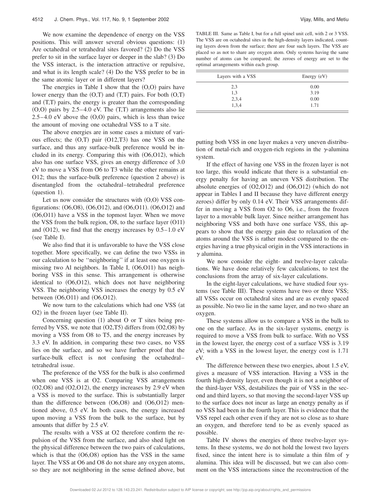We now examine the dependence of energy on the VSS positions. This will answer several obvious questions:  $(1)$ Are octahedral or tetrahedral sites favored?  $(2)$  Do the VSS prefer to sit in the surface layer or deeper in the slab?  $(3)$  Do the VSS interact, is the interaction attractive or repulsive, and what is its length scale?  $(4)$  Do the VSS prefer to be in the same atomic layer or in different layers?

The energies in Table I show that the  $(0,0)$  pairs have lower energy than the  $(O,T)$  and  $(T,T)$  pairs. For both  $(O,T)$ and  $(T,T)$  pairs, the energy is greater than the corresponding  $(0,0)$  pairs by 2.5–4.0 eV. The  $(T,T)$  arrangements also lie  $2.5-4.0$  eV above the  $(O,O)$  pairs, which is less than twice the amount of moving one octahedral VSS to a T site.

The above energies are in some cases a mixture of various effects; the  $(O,T)$  pair  $(O12,T3)$  has one VSS on the surface, and thus any surface-bulk preference would be included in its energy. Comparing this with  $(06,012)$ , which also has one surface VSS, gives an energy difference of 3.0 eV to move a VSS from O6 to T3 while the other remains at O12; thus the surface-bulk preference (question  $2$  above) is disentangled from the octahedral–tetrahedral preference  $question$  1).

Let us now consider the structures with  $(O,O)$  VSS configurations:  $(06,08)$ ,  $(06,012)$ , and  $(06,011)$ .  $(06,012)$  and  $(06,011)$  have a VSS in the topmost layer. When we move the VSS from the bulk region,  $\overline{O8}$ , to the surface layer  $\overline{O11}$ and  $(O12)$ , we find that the energy increases by  $0.5-1.0$  eV (see Table I).

We also find that it is unfavorable to have the VSS close together. More specifically, we can define the two VSSs in our calculation to be ''neighboring'' if at least one oxygen is missing two Al neighbors. In Table I,  $(06,011)$  has neighboring VSS in this sense. This arrangement is otherwise identical to  $(06,012)$ , which does not have neighboring VSS. The neighboring VSS increases the energy by 0.5 eV between  $(06,011)$  and  $(06,012)$ .

We now turn to the calculations which had one VSS (at  $O2$ ) in the frozen layer (see Table II).

Concerning question  $(1)$  about O or T sites being preferred by VSS, we note that  $(O2, T5)$  differs from  $(O2, O8)$  by moving a VSS from O8 to T5, and the energy increases by 3.3 eV. In addition, in comparing these two cases, no VSS lies on the surface, and so we have further proof that the surface-bulk effect is not confusing the octahedral– tetrahedral issue.

The preference of the VSS for the bulk is also confirmed when one VSS is at O2. Comparing VSS arrangements  $(O2,O8)$  and  $(O2,O12)$ , the energy increases by 2.9 eV when a VSS is moved to the surface. This is substantially larger than the difference between  $(06,08)$  and  $(06,012)$  mentioned above, 0.5 eV. In both cases, the energy increased upon moving a VSS from the bulk to the surface, but by amounts that differ by 2.5 eV.

The results with a VSS at O2 therefore confirm the repulsion of the VSS from the surface, and also shed light on the physical difference between the two pairs of calculations, which is that the  $(06,08)$  option has the VSS in the same layer. The VSS at O6 and O8 do not share any oxygen atoms, so they are not neighboring in the sense defined above, but

TABLE III. Same as Table I, but for a full spinel unit cell, with 2 or 3 VSS. The VSS are on octahedral sites in the high-density layers indicated, counting layers down from the surface; there are four such layers. The VSS are placed so as not to share any oxygen atom. Only systems having the same number of atoms can be compared; the zeroes of energy are set to the optimal arrangements within each group.

| Layers with a VSS | Energy $(eV)$ |
|-------------------|---------------|
| 2,3               | 0.00          |
| 1,3               | 3.19          |
| 2,3,4             | 0.00          |
| 1,3,4             | 1.71          |

putting both VSS in one layer makes a very uneven distribution of metal-rich and oxygen-rich regions in the  $\gamma$ -alumina system.

If the effect of having one VSS in the frozen layer is not too large, this would indicate that there is a substantial energy penalty for having an uneven VSS distribution. The absolute energies of  $(O2,O12)$  and  $(O6,O12)$  (which do not appear in Tables I and II because they have different energy zeroes) differ by only 0.14 eV. Their VSS arrangements differ in moving a VSS from O2 to O6, i.e., from the frozen layer to a movable bulk layer. Since neither arrangement has neighboring VSS and both have one surface VSS, this appears to show that the energy gain due to relaxation of the atoms around the VSS is rather modest compared to the energies having a true physical origin in the VSS interactions in  $\gamma$  alumina.

We now consider the eight- and twelve-layer calculations. We have done relatively few calculations, to test the conclusions from the array of six-layer calculations.

In the eight-layer calculations, we have studied four systems (see Table III). These systems have two or three VSS; all VSSs occur on octahedral sites and are as evenly spaced as possible. No two lie in the same layer, and no two share an oxygen.

These systems allow us to compare a VSS in the bulk to one on the surface. As in the six-layer systems, energy is required to move a VSS from bulk to surface. With no VSS in the lowest layer, the energy cost of a surface VSS is 3.19 eV; with a VSS in the lowest layer, the energy cost is 1.71 eV.

The difference between these two energies, about 1.5 eV, gives a measure of VSS interaction. Having a VSS in the fourth high-density layer, even though it is not a neighbor of the third-layer VSS, destabilizes the pair of VSS in the second and third layers, so that moving the second-layer VSS up to the surface does not incur as large an energy penalty as if no VSS had been in the fourth layer. This is evidence that the VSS repel each other even if they are not so close as to share an oxygen, and therefore tend to be as evenly spaced as possible.

Table IV shows the energies of three twelve-layer systems. In these systems, we do not hold the lowest two layers fixed, since the intent here is to simulate a thin film of  $\gamma$ alumina. This idea will be discussed, but we can also comment on the VSS interactions since the reconstruction of the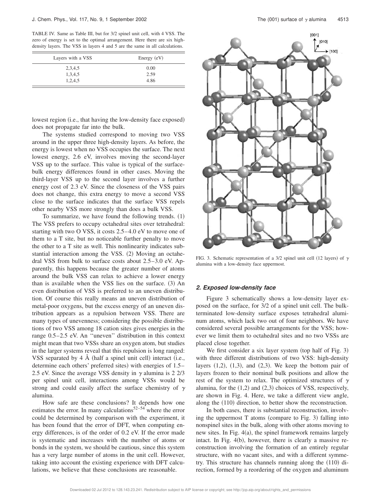TABLE IV. Same as Table III, but for 3/2 spinel unit cell, with 4 VSS. The zero of energy is set to the optimal arrangement. Here there are six highdensity layers. The VSS in layers 4 and 5 are the same in all calculations.

| Layers with a VSS | Energy $(eV)$ |
|-------------------|---------------|
| 2,3,4,5           | 0.00          |
| 1,3,4,5           | 2.59          |
| 1,2,4,5           | 4.86          |

lowest region (i.e., that having the low-density face exposed) does not propagate far into the bulk.

The systems studied correspond to moving two VSS around in the upper three high-density layers. As before, the energy is lowest when no VSS occupies the surface. The next lowest energy, 2.6 eV, involves moving the second-layer VSS up to the surface. This value is typical of the surfacebulk energy differences found in other cases. Moving the third-layer VSS up to the second layer involves a further energy cost of 2.3 eV. Since the closeness of the VSS pairs does not change, this extra energy to move a second VSS close to the surface indicates that the surface VSS repels other nearby VSS more strongly than does a bulk VSS.

To summarize, we have found the following trends.  $(1)$ The VSS prefers to occupy octahedral sites over tetrahedral: starting with two O VSS, it costs 2.5–4.0 eV to move one of them to a T site, but no noticeable further penalty to move the other to a T site as well. This nonlinearity indicates substantial interaction among the VSS.  $(2)$  Moving an octahedral VSS from bulk to surface costs about 2.5–3.0 eV. Apparently, this happens because the greater number of atoms around the bulk VSS can relax to achieve a lower energy than is available when the VSS lies on the surface.  $(3)$  An even distribution of VSS is preferred to an uneven distribution. Of course this really means an uneven distribution of metal-poor oxygens, but the excess energy of an uneven distribution appears as a repulsion between VSS. There are many types of unevenness; considering the possible distributions of two VSS among 18 cation sites gives energies in the range 0.5–2.5 eV. An ''uneven'' distribution in this context might mean that two VSSs share an oxygen atom, but studies in the larger systems reveal that this repulsion is long ranged: VSS separated by  $4 \text{ Å}$  (half a spinel unit cell) interact (i.e., determine each others' preferred sites) with energies of 1.5– 2.5 eV. Since the average VSS density in  $\gamma$  alumina is 2 2/3 per spinel unit cell, interactions among VSSs would be strong and could easily affect the surface chemistry of  $\gamma$ alumina.

How safe are these conclusions? It depends how one estimates the error. In many calculations $52-54$  where the error could be determined by comparison with the experiment, it has been found that the error of DFT, when computing energy differences, is of the order of 0.2 eV. If the error made is systematic and increases with the number of atoms or bonds in the system, we should be cautious, since this system has a very large number of atoms in the unit cell. However, taking into account the existing experience with DFT calculations, we believe that these conclusions are reasonable.



FIG. 3. Schematic representation of a 3/2 spinel unit cell (12 layers) of  $\gamma$ alumina with a low-density face uppermost.

### **2. Exposed low-density face**

Figure 3 schematically shows a low-density layer exposed on the surface, for 3/2 of a spinel unit cell. The bulkterminated low-density surface exposes tetrahedral aluminum atoms, which lack two out of four neighbors. We have considered several possible arrangements for the VSS; however we limit them to octahedral sites and no two VSSs are placed close together.

We first consider a six layer system (top half of Fig. 3) with three different distributions of two VSS: high-density layers  $(1,2)$ ,  $(1,3)$ , and  $(2,3)$ . We keep the bottom pair of layers frozen to their nominal bulk positions and allow the rest of the system to relax. The optimized structures of  $\gamma$ alumina, for the  $(1,2)$  and  $(2,3)$  choices of VSS, respectively, are shown in Fig. 4. Here, we take a different view angle, along the  $(110)$  direction, to better show the reconstruction.

In both cases, there is substantial reconstruction, involving the uppermost  $T$  atoms (compare to Fig. 3) falling into nonspinel sites in the bulk, along with other atoms moving to new sites. In Fig.  $4(a)$ , the spinel framework remains largely intact. In Fig.  $4(b)$ , however, there is clearly a massive reconstruction involving the formation of an entirely regular structure, with no vacant sites, and with a different symmetry. This structure has channels running along the  $(110)$  direction, formed by a reordering of the oxygen and aluminum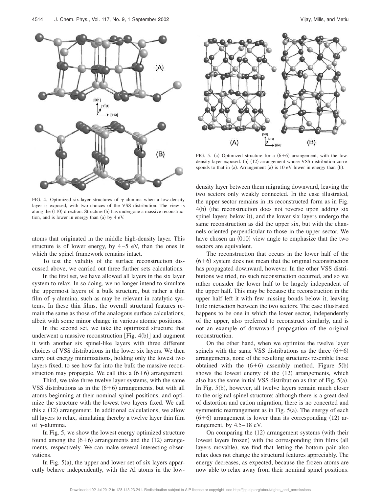

FIG. 4. Optimized six-layer structures of  $\gamma$  alumina when a low-density layer is exposed, with two choices of the VSS distribution. The view is along the (110) direction. Structure (b) has undergone a massive reconstruction, and is lower in energy than  $(a)$  by 4 eV.

atoms that originated in the middle high-density layer. This structure is of lower energy, by  $4-5$  eV, than the ones in which the spinel framework remains intact.

To test the validity of the surface reconstruction discussed above, we carried out three further sets calculations.

In the first set, we have allowed all layers in the six layer system to relax. In so doing, we no longer intend to simulate the uppermost layers of a bulk structure, but rather a thin film of  $\gamma$  alumina, such as may be relevant in catalytic systems. In these thin films, the overall structural features remain the same as those of the analogous surface calculations, albeit with some minor change in various atomic positions.

In the second set, we take the optimized structure that underwent a massive reconstruction [Fig.  $4(b)$ ] and augment it with another six spinel-like layers with three different choices of VSS distributions in the lower six layers. We then carry out energy minimizations, holding only the lowest two layers fixed, to see how far into the bulk the massive reconstruction may propagate. We call this a  $(6+6)$  arrangement.

Third, we take three twelve layer systems, with the same VSS distributions as in the  $(6+6)$  arrangements, but with all atoms beginning at their nominal spinel positions, and optimize the structure with the lowest two layers fixed. We call this a  $(12)$  arrangement. In additional calculations, we allow all layers to relax, simulating thereby a twelve layer thin film of  $\gamma$ -alumina.

In Fig. 5, we show the lowest energy optimized structure found among the  $(6+6)$  arrangements and the  $(12)$  arrangements, respectively. We can make several interesting observations.

In Fig.  $5(a)$ , the upper and lower set of six layers apparently behave independently, with the Al atoms in the low-



FIG. 5. (a) Optimized structure for a  $(6+6)$  arrangement, with the lowdensity layer exposed. (b) (12) arrangement whose VSS distribution corresponds to that in  $(a)$ . Arrangement  $(a)$  is 10 eV lower in energy than  $(b)$ .

density layer between them migrating downward, leaving the two sectors only weakly connected. In the case illustrated, the upper sector remains in its reconstructed form as in Fig.  $4(b)$  (the reconstruction does not reverse upon adding six spinel layers below it), and the lower six layers undergo the same reconstruction as did the upper six, but with the channels oriented perpendicular to those in the upper sector. We have chosen an  $(010)$  view angle to emphasize that the two sectors are equivalent.

The reconstruction that occurs in the lower half of the  $(6+6)$  system does not mean that the original reconstruction has propagated downward, however. In the other VSS distributions we tried, no such reconstruction occurred, and so we rather consider the lower half to be largely independent of the upper half. This may be because the reconstruction in the upper half left it with few missing bonds below it, leaving little interaction between the two sectors. The case illustrated happens to be one in which the lower sector, independently of the upper, also preferred to reconstruct similarly, and is not an example of downward propagation of the original reconstruction.

On the other hand, when we optimize the twelve layer spinels with the same VSS distributions as the three  $(6+6)$ arrangements, none of the resulting structures resemble those obtained with the  $(6+6)$  assembly method. Figure 5(b) shows the lowest energy of the  $(12)$  arrangements, which also has the same initial VSS distribution as that of Fig.  $5(a)$ . In Fig.  $5(b)$ , however, all twelve layers remain much closer to the original spinel structure: although there is a great deal of distortion and cation migration, there is no concerted and symmetric rearrangement as in Fig.  $5(a)$ . The energy of each  $(6+6)$  arrangement is lower than its corresponding  $(12)$  arrangement, by 4.5–18 eV.

On comparing the  $(12)$  arrangement systems (with their lowest layers frozen) with the corresponding thin films (all layers movable), we find that letting the bottom pair also relax does not change the structural features appreciably. The energy decreases, as expected, because the frozen atoms are now able to relax away from their nominal spinel positions.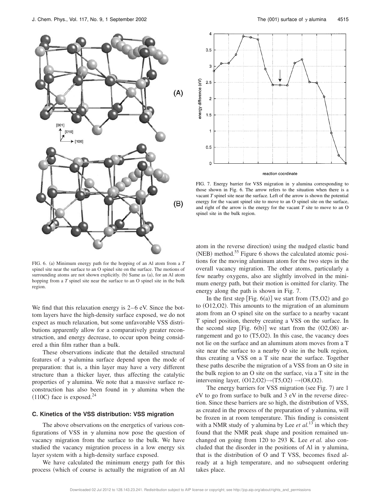



FIG. 7. Energy barrier for VSS migration in  $\gamma$  alumina corresponding to those shown in Fig. 6. The arrow refers to the situation when there is a vacant *T* spinel site near the surface. Left of the arrow is shown the potential energy for the vacant spinel site to move to an O spinel site on the surface, and right of the arrow is the energy for the vacant *T* site to move to an O spinel site in the bulk region.

FIG. 6. (a) Minimum energy path for the hopping of an Al atom from a  $T$ spinel site near the surface to an O spinel site on the surface. The motions of surrounding atoms are not shown explicitly.  $(b)$  Same as  $(a)$ , for an Al atom hopping from a *T* spinel site near the surface to an O spinel site in the bulk region.

We find that this relaxation energy is 2–6 eV. Since the bottom layers have the high-density surface exposed, we do not expect as much relaxation, but some unfavorable VSS distributions apparently allow for a comparatively greater reconstruction, and energy decrease, to occur upon being considered a thin film rather than a bulk.

These observations indicate that the detailed structural features of a  $\gamma$ -alumina surface depend upon the mode of preparation: that is, a thin layer may have a very different structure than a thicker layer, thus affecting the catalytic properties of  $\gamma$  alumina. We note that a massive surface reconstruction has also been found in  $\gamma$  alumina when the  $(110C)$  face is exposed.<sup>24</sup>

# **C. Kinetics of the VSS distribution: VSS migration**

The above observations on the energetics of various configurations of VSS in  $\gamma$  alumina now pose the question of vacancy migration from the surface to the bulk. We have studied the vacancy migration process in a low energy six layer system with a high-density surface exposed.

We have calculated the minimum energy path for this process (which of course is actually the migration of an Al atom in the reverse direction) using the nudged elastic band  $(NEB)$  method.<sup>55</sup> Figure 6 shows the calculated atomic positions for the moving aluminum atom for the two steps in the overall vacancy migration. The other atoms, particularly a few nearby oxygens, also are slightly involved in the minimum energy path, but their motion is omitted for clarity. The energy along the path is shown in Fig. 7.

In the first step [Fig.  $6(a)$ ] we start from  $(T5, O2)$  and go to  $(O12,O2)$ . This amounts to the migration of an aluminum atom from an O spinel site on the surface to a nearby vacant T spinel position, thereby creating a VSS on the surface. In the second step [Fig.  $6(b)$ ] we start from the  $(O2, O8)$  arrangement and go to  $(T5, O2)$ . In this case, the vacancy does not lie on the surface and an aluminum atom moves from a T site near the surface to a nearby O site in the bulk region, thus creating a VSS on a T site near the surface. Together these paths describe the migration of a VSS from an O site in the bulk region to an O site on the surface, via a T site in the intervening layer,  $(O12,O2) \rightarrow (T5,O2) \rightarrow (O8,O2)$ .

The energy barriers for VSS migration (see Fig.  $7$ ) are 1 eV to go from surface to bulk and 3 eV in the reverse direction. Since these barriers are so high, the distribution of VSS, as created in the process of the preparation of  $\gamma$  alumina, will be frozen in at room temperature. This finding is consistent with a NMR study of  $\gamma$  alumina by Lee *et al.*<sup>13</sup> in which they found that the NMR peak shape and position remained unchanged on going from 120 to 293 K. Lee *et al.* also concluded that the disorder in the positions of Al in  $\gamma$  alumina, that is the distribution of O and T VSS, becomes fixed already at a high temperature, and no subsequent ordering takes place.